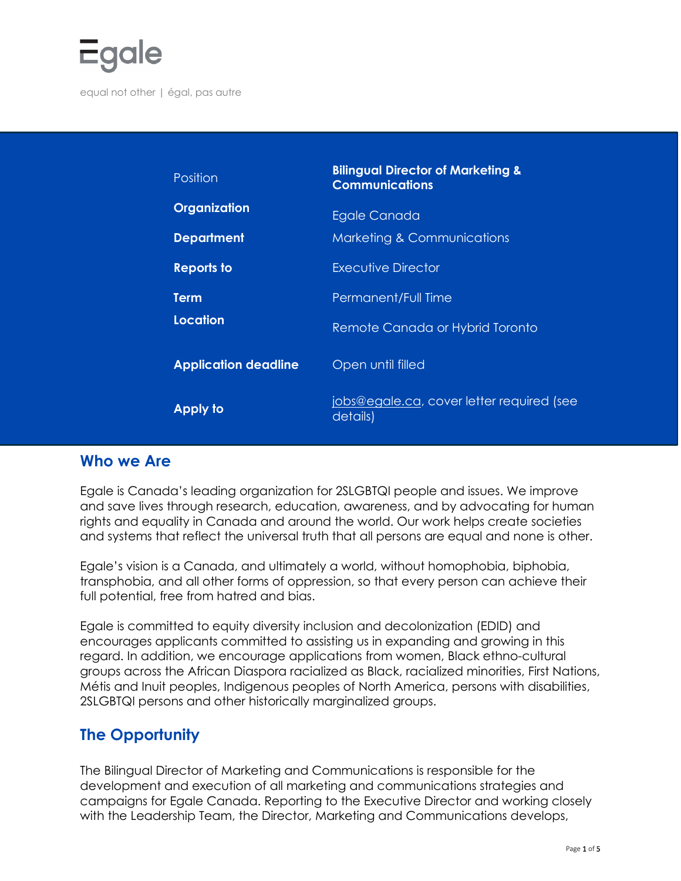

| Position                    | <b>Bilingual Director of Marketing &amp;</b><br><b>Communications</b> |
|-----------------------------|-----------------------------------------------------------------------|
| Organization                | <b>Egale Canada</b>                                                   |
| <b>Department</b>           | <b>Marketing &amp; Communications</b>                                 |
| <b>Reports to</b>           | <b>Executive Director</b>                                             |
| <b>Term</b>                 | Permanent/Full Time                                                   |
| <b>Location</b>             | Remote Canada or Hybrid Toronto                                       |
| <b>Application deadline</b> | Open until filled                                                     |
| <b>Apply to</b>             | jobs@egale.ca, cover letter required (see<br>details)                 |

#### **Who we Are**

Egale is Canada's leading organization for 2SLGBTQI people and issues. We improve and save lives through research, education, awareness, and by advocating for human rights and equality in Canada and around the world. Our work helps create societies and systems that reflect the universal truth that all persons are equal and none is other.

Egale's vision is a Canada, and ultimately a world, without homophobia, biphobia, transphobia, and all other forms of oppression, so that every person can achieve their full potential, free from hatred and bias.

Egale is committed to equity diversity inclusion and decolonization (EDID) and encourages applicants committed to assisting us in expanding and growing in this regard. In addition, we encourage applications from women, Black ethno-cultural groups across the African Diaspora racialized as Black, racialized minorities, First Nations, Métis and Inuit peoples, Indigenous peoples of North America, persons with disabilities, 2SLGBTQI persons and other historically marginalized groups.

### **The Opportunity**

The Bilingual Director of Marketing and Communications is responsible for the development and execution of all marketing and communications strategies and campaigns for Egale Canada. Reporting to the Executive Director and working closely with the Leadership Team, the Director, Marketing and Communications develops,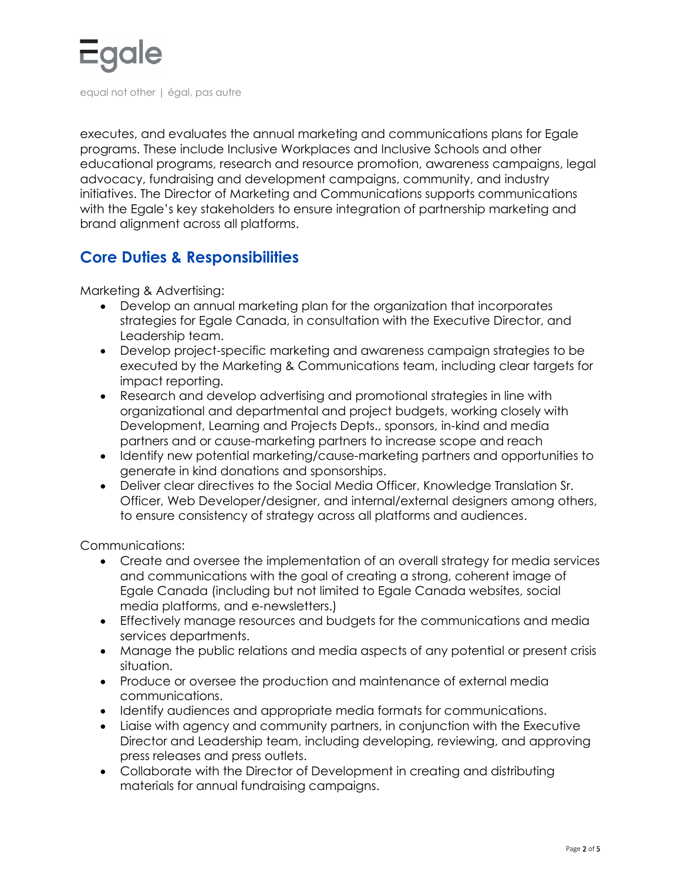

executes, and evaluates the annual marketing and communications plans for Egale programs. These include Inclusive Workplaces and Inclusive Schools and other educational programs, research and resource promotion, awareness campaigns, legal advocacy, fundraising and development campaigns, community, and industry initiatives. The Director of Marketing and Communications supports communications with the Egale's key stakeholders to ensure integration of partnership marketing and brand alignment across all platforms.

## **Core Duties & Responsibilities**

Marketing & Advertising:

- Develop an annual marketing plan for the organization that incorporates strategies for Egale Canada, in consultation with the Executive Director, and Leadership team.
- Develop project-specific marketing and awareness campaign strategies to be executed by the Marketing & Communications team, including clear targets for impact reporting.
- Research and develop advertising and promotional strategies in line with organizational and departmental and project budgets, working closely with Development, Learning and Projects Depts., sponsors, in-kind and media partners and or cause-marketing partners to increase scope and reach
- Identify new potential marketing/cause-marketing partners and opportunities to generate in kind donations and sponsorships.
- Deliver clear directives to the Social Media Officer, Knowledge Translation Sr. Officer, Web Developer/designer, and internal/external designers among others, to ensure consistency of strategy across all platforms and audiences.

Communications:

- Create and oversee the implementation of an overall strategy for media services and communications with the goal of creating a strong, coherent image of Egale Canada (including but not limited to Egale Canada websites, social media platforms, and e-newsletters.)
- Effectively manage resources and budgets for the communications and media services departments.
- Manage the public relations and media aspects of any potential or present crisis situation.
- Produce or oversee the production and maintenance of external media communications.
- Identify audiences and appropriate media formats for communications.
- Liaise with agency and community partners, in conjunction with the Executive Director and Leadership team, including developing, reviewing, and approving press releases and press outlets.
- Collaborate with the Director of Development in creating and distributing materials for annual fundraising campaigns.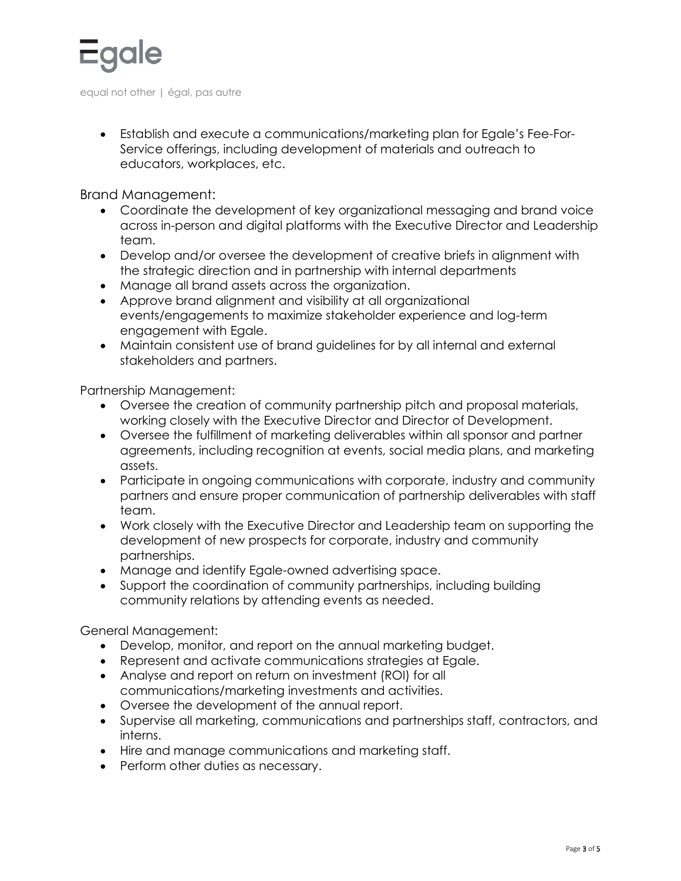

• Establish and execute a communications/marketing plan for Egale's Fee-For-Service offerings, including development of materials and outreach to educators, workplaces, etc.

Brand Management:

- Coordinate the development of key organizational messaging and brand voice across in-person and digital platforms with the Executive Director and Leadership team.
- Develop and/or oversee the development of creative briefs in alignment with the strategic direction and in partnership with internal departments
- Manage all brand assets across the organization.
- Approve brand alignment and visibility at all organizational events/engagements to maximize stakeholder experience and log-term engagement with Egale.
- Maintain consistent use of brand guidelines for by all internal and external stakeholders and partners.

Partnership Management:

- Oversee the creation of community partnership pitch and proposal materials, working closely with the Executive Director and Director of Development.
- Oversee the fulfillment of marketing deliverables within all sponsor and partner agreements, including recognition at events, social media plans, and marketing assets.
- Participate in ongoing communications with corporate, industry and community partners and ensure proper communication of partnership deliverables with staff team.
- Work closely with the Executive Director and Leadership team on supporting the development of new prospects for corporate, industry and community partnerships.
- Manage and identify Egale-owned advertising space.
- Support the coordination of community partnerships, including building community relations by attending events as needed.

General Management:

- Develop, monitor, and report on the annual marketing budget.
- Represent and activate communications strategies at Egale.
- Analyse and report on return on investment (ROI) for all communications/marketing investments and activities.
- Oversee the development of the annual report.
- Supervise all marketing, communications and partnerships staff, contractors, and interns.
- Hire and manage communications and marketing staff.
- Perform other duties as necessary.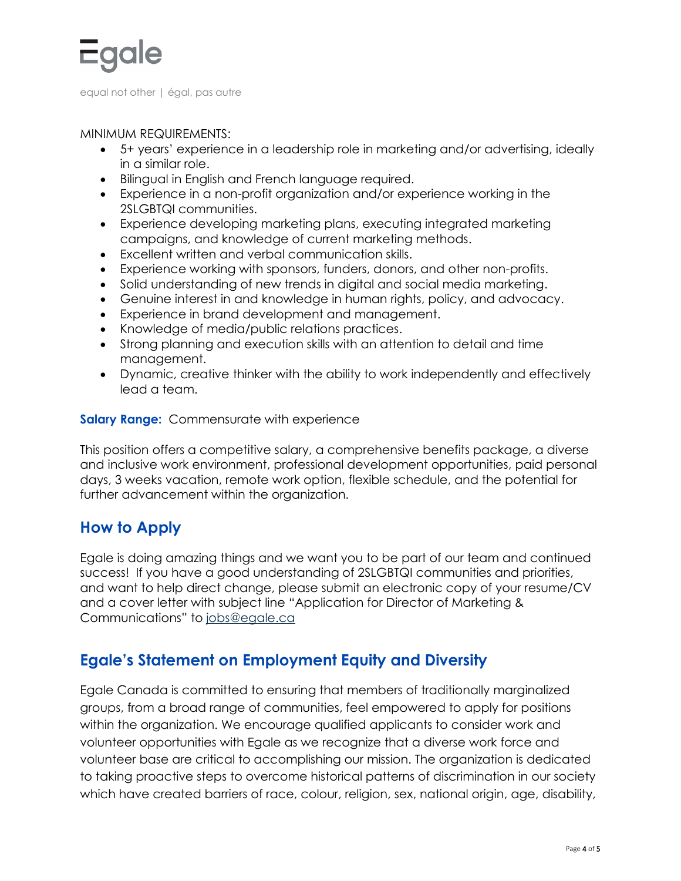

MINIMUM REQUIREMENTS:

- 5+ years' experience in a leadership role in marketing and/or advertising, ideally in a similar role.
- Bilingual in English and French language required.
- Experience in a non-profit organization and/or experience working in the 2SLGBTQI communities.
- Experience developing marketing plans, executing integrated marketing campaigns, and knowledge of current marketing methods.
- Excellent written and verbal communication skills.
- Experience working with sponsors, funders, donors, and other non-profits.
- Solid understanding of new trends in digital and social media marketing.
- Genuine interest in and knowledge in human rights, policy, and advocacy.
- Experience in brand development and management.
- Knowledge of media/public relations practices.
- Strong planning and execution skills with an attention to detail and time management.
- Dynamic, creative thinker with the ability to work independently and effectively lead a team.

#### **Salary Range:** Commensurate with experience

This position offers a competitive salary, a comprehensive benefits package, a diverse and inclusive work environment, professional development opportunities, paid personal days, 3 weeks vacation, remote work option, flexible schedule, and the potential for further advancement within the organization.

### **How to Apply**

Egale is doing amazing things and we want you to be part of our team and continued success! If you have a good understanding of 2SLGBTQI communities and priorities, and want to help direct change, please submit an electronic copy of your resume/CV and a cover letter with subject line "Application for Director of Marketing & Communications" to [jobs@egale.ca](mailto:jobs@egale.ca)

# **Egale's Statement on Employment Equity and Diversity**

Egale Canada is committed to ensuring that members of traditionally marginalized groups, from a broad range of communities, feel empowered to apply for positions within the organization. We encourage qualified applicants to consider work and volunteer opportunities with Egale as we recognize that a diverse work force and volunteer base are critical to accomplishing our mission. The organization is dedicated to taking proactive steps to overcome historical patterns of discrimination in our society which have created barriers of race, colour, religion, sex, national origin, age, disability,